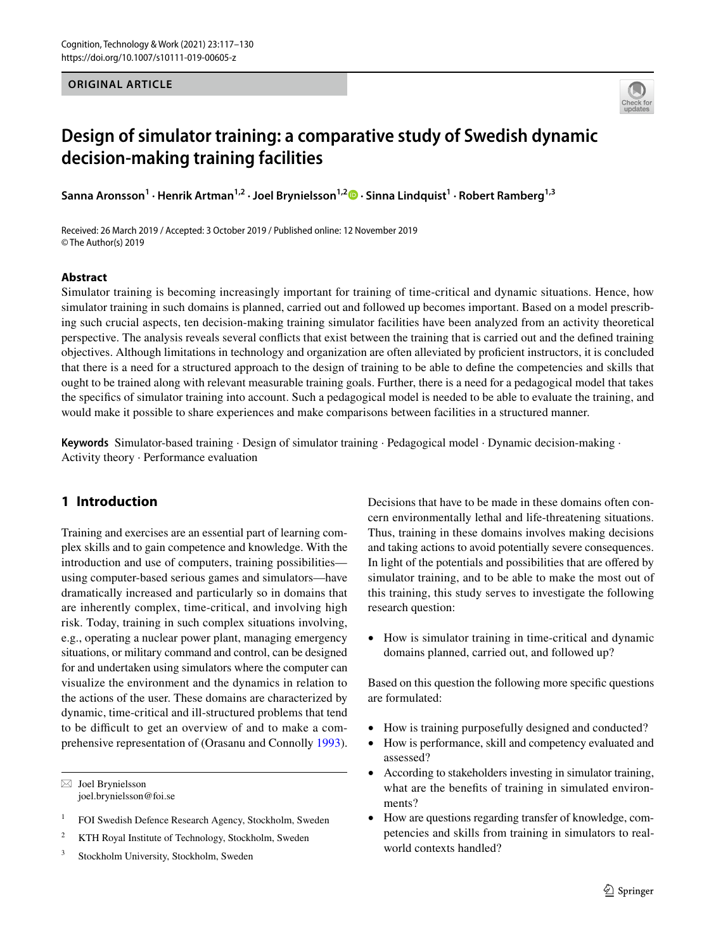**ORIGINAL ARTICLE**



# **Design of simulator training: a comparative study of Swedish dynamic decision‑making training facilities**

**Sanna Aronsson<sup>1</sup> · Henrik Artman1,2 · Joel Brynielsson1,2 · Sinna Lindquist1 · Robert Ramberg1,3**

Received: 26 March 2019 / Accepted: 3 October 2019 / Published online: 12 November 2019 © The Author(s) 2019

# **Abstract**

Simulator training is becoming increasingly important for training of time-critical and dynamic situations. Hence, how simulator training in such domains is planned, carried out and followed up becomes important. Based on a model prescribing such crucial aspects, ten decision-making training simulator facilities have been analyzed from an activity theoretical perspective. The analysis reveals several conficts that exist between the training that is carried out and the defned training objectives. Although limitations in technology and organization are often alleviated by profcient instructors, it is concluded that there is a need for a structured approach to the design of training to be able to defne the competencies and skills that ought to be trained along with relevant measurable training goals. Further, there is a need for a pedagogical model that takes the specifcs of simulator training into account. Such a pedagogical model is needed to be able to evaluate the training, and would make it possible to share experiences and make comparisons between facilities in a structured manner.

**Keywords** Simulator-based training · Design of simulator training · Pedagogical model · Dynamic decision-making · Activity theory · Performance evaluation

# **1 Introduction**

Training and exercises are an essential part of learning complex skills and to gain competence and knowledge. With the introduction and use of computers, training possibilities using computer-based serious games and simulators—have dramatically increased and particularly so in domains that are inherently complex, time-critical, and involving high risk. Today, training in such complex situations involving, e.g., operating a nuclear power plant, managing emergency situations, or military command and control, can be designed for and undertaken using simulators where the computer can visualize the environment and the dynamics in relation to the actions of the user. These domains are characterized by dynamic, time-critical and ill-structured problems that tend to be difficult to get an overview of and to make a comprehensive representation of (Orasanu and Connolly [1993](#page-13-0)).

 $\boxtimes$  Joel Brynielsson joel.brynielsson@foi.se

- <sup>1</sup> FOI Swedish Defence Research Agency, Stockholm, Sweden
- <sup>2</sup> KTH Royal Institute of Technology, Stockholm, Sweden

<sup>3</sup> Stockholm University, Stockholm, Sweden

Decisions that have to be made in these domains often concern environmentally lethal and life-threatening situations. Thus, training in these domains involves making decisions and taking actions to avoid potentially severe consequences. In light of the potentials and possibilities that are ofered by simulator training, and to be able to make the most out of this training, this study serves to investigate the following research question:

• How is simulator training in time-critical and dynamic domains planned, carried out, and followed up?

Based on this question the following more specifc questions are formulated:

- How is training purposefully designed and conducted?
- How is performance, skill and competency evaluated and assessed?
- According to stakeholders investing in simulator training, what are the benefits of training in simulated environments?
- How are questions regarding transfer of knowledge, competencies and skills from training in simulators to realworld contexts handled?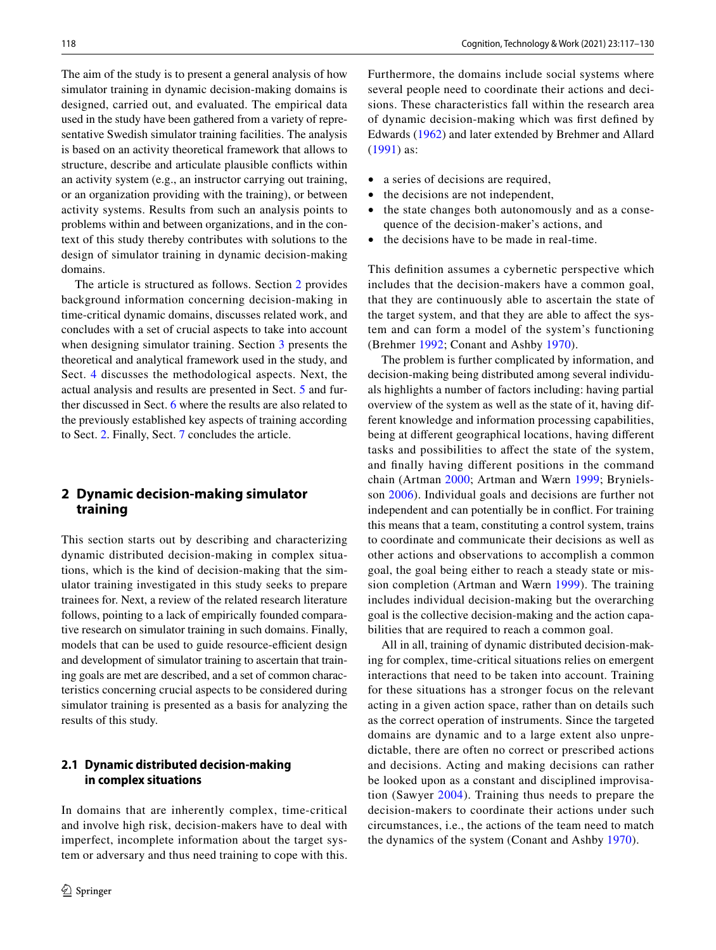The aim of the study is to present a general analysis of how simulator training in dynamic decision-making domains is designed, carried out, and evaluated. The empirical data used in the study have been gathered from a variety of representative Swedish simulator training facilities. The analysis is based on an activity theoretical framework that allows to structure, describe and articulate plausible conficts within an activity system (e.g., an instructor carrying out training, or an organization providing with the training), or between activity systems. Results from such an analysis points to problems within and between organizations, and in the context of this study thereby contributes with solutions to the design of simulator training in dynamic decision-making domains.

The article is structured as follows. Section [2](#page-1-0) provides background information concerning decision-making in time-critical dynamic domains, discusses related work, and concludes with a set of crucial aspects to take into account when designing simulator training. Section [3](#page-3-0) presents the theoretical and analytical framework used in the study, and Sect. [4](#page-4-0) discusses the methodological aspects. Next, the actual analysis and results are presented in Sect. [5](#page-5-0) and further discussed in Sect. [6](#page-10-0) where the results are also related to the previously established key aspects of training according to Sect. [2.](#page-1-0) Finally, Sect. [7](#page-11-0) concludes the article.

# <span id="page-1-0"></span>**2 Dynamic decision‑making simulator training**

This section starts out by describing and characterizing dynamic distributed decision-making in complex situations, which is the kind of decision-making that the simulator training investigated in this study seeks to prepare trainees for. Next, a review of the related research literature follows, pointing to a lack of empirically founded comparative research on simulator training in such domains. Finally, models that can be used to guide resource-efficient design and development of simulator training to ascertain that training goals are met are described, and a set of common characteristics concerning crucial aspects to be considered during simulator training is presented as a basis for analyzing the results of this study.

# **2.1 Dynamic distributed decision‑making in complex situations**

In domains that are inherently complex, time-critical and involve high risk, decision-makers have to deal with imperfect, incomplete information about the target system or adversary and thus need training to cope with this.

Furthermore, the domains include social systems where several people need to coordinate their actions and decisions. These characteristics fall within the research area of dynamic decision-making which was frst defned by Edwards [\(1962\)](#page-12-0) and later extended by Brehmer and Allard ([1991](#page-12-1)) as:

- a series of decisions are required,
- the decisions are not independent,
- the state changes both autonomously and as a consequence of the decision-maker's actions, and
- the decisions have to be made in real-time.

This defnition assumes a cybernetic perspective which includes that the decision-makers have a common goal, that they are continuously able to ascertain the state of the target system, and that they are able to affect the system and can form a model of the system's functioning (Brehmer [1992](#page-12-2); Conant and Ashby [1970](#page-12-3)).

The problem is further complicated by information, and decision-making being distributed among several individuals highlights a number of factors including: having partial overview of the system as well as the state of it, having different knowledge and information processing capabilities, being at diferent geographical locations, having diferent tasks and possibilities to afect the state of the system, and fnally having diferent positions in the command chain (Artman [2000](#page-12-4); Artman and Wærn [1999](#page-12-5); Brynielsson [2006](#page-12-6)). Individual goals and decisions are further not independent and can potentially be in confict. For training this means that a team, constituting a control system, trains to coordinate and communicate their decisions as well as other actions and observations to accomplish a common goal, the goal being either to reach a steady state or mission completion (Artman and Wærn [1999\)](#page-12-5). The training includes individual decision-making but the overarching goal is the collective decision-making and the action capabilities that are required to reach a common goal.

All in all, training of dynamic distributed decision-making for complex, time-critical situations relies on emergent interactions that need to be taken into account. Training for these situations has a stronger focus on the relevant acting in a given action space, rather than on details such as the correct operation of instruments. Since the targeted domains are dynamic and to a large extent also unpredictable, there are often no correct or prescribed actions and decisions. Acting and making decisions can rather be looked upon as a constant and disciplined improvisation (Sawyer [2004\)](#page-13-1). Training thus needs to prepare the decision-makers to coordinate their actions under such circumstances, i.e., the actions of the team need to match the dynamics of the system (Conant and Ashby [1970\)](#page-12-3).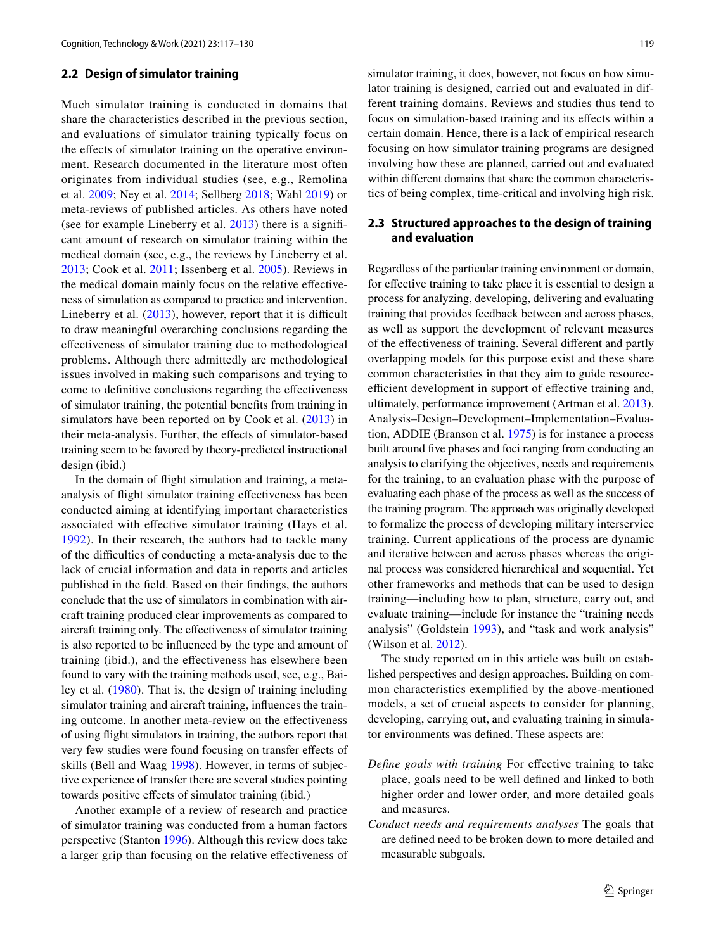#### **2.2 Design of simulator training**

Much simulator training is conducted in domains that share the characteristics described in the previous section, and evaluations of simulator training typically focus on the effects of simulator training on the operative environment. Research documented in the literature most often originates from individual studies (see, e.g., Remolina et al. [2009](#page-13-2); Ney et al. [2014](#page-12-7); Sellberg [2018](#page-13-3); Wahl [2019\)](#page-13-4) or meta-reviews of published articles. As others have noted (see for example Lineberry et al. [2013\)](#page-12-8) there is a signifcant amount of research on simulator training within the medical domain (see, e.g., the reviews by Lineberry et al. [2013](#page-12-8); Cook et al. [2011;](#page-12-9) Issenberg et al. [2005](#page-12-10)). Reviews in the medical domain mainly focus on the relative efectiveness of simulation as compared to practice and intervention. Lineberry et al.  $(2013)$ , however, report that it is difficult to draw meaningful overarching conclusions regarding the efectiveness of simulator training due to methodological problems. Although there admittedly are methodological issues involved in making such comparisons and trying to come to defnitive conclusions regarding the efectiveness of simulator training, the potential benefts from training in simulators have been reported on by Cook et al. ([2013](#page-12-11)) in their meta-analysis. Further, the efects of simulator-based training seem to be favored by theory-predicted instructional design (ibid.)

In the domain of fight simulation and training, a metaanalysis of fight simulator training efectiveness has been conducted aiming at identifying important characteristics associated with efective simulator training (Hays et al. [1992\)](#page-12-12). In their research, the authors had to tackle many of the difculties of conducting a meta-analysis due to the lack of crucial information and data in reports and articles published in the feld. Based on their fndings, the authors conclude that the use of simulators in combination with aircraft training produced clear improvements as compared to aircraft training only. The efectiveness of simulator training is also reported to be infuenced by the type and amount of training (ibid.), and the efectiveness has elsewhere been found to vary with the training methods used, see, e.g., Bailey et al. [\(1980](#page-12-13)). That is, the design of training including simulator training and aircraft training, infuences the training outcome. In another meta-review on the effectiveness of using fight simulators in training, the authors report that very few studies were found focusing on transfer efects of skills (Bell and Waag [1998](#page-12-14)). However, in terms of subjective experience of transfer there are several studies pointing towards positive efects of simulator training (ibid.)

Another example of a review of research and practice of simulator training was conducted from a human factors perspective (Stanton [1996](#page-13-5)). Although this review does take a larger grip than focusing on the relative efectiveness of simulator training, it does, however, not focus on how simulator training is designed, carried out and evaluated in different training domains. Reviews and studies thus tend to focus on simulation-based training and its efects within a certain domain. Hence, there is a lack of empirical research focusing on how simulator training programs are designed involving how these are planned, carried out and evaluated within diferent domains that share the common characteristics of being complex, time-critical and involving high risk.

### <span id="page-2-0"></span>**2.3 Structured approaches to the design of training and evaluation**

Regardless of the particular training environment or domain, for efective training to take place it is essential to design a process for analyzing, developing, delivering and evaluating training that provides feedback between and across phases, as well as support the development of relevant measures of the efectiveness of training. Several diferent and partly overlapping models for this purpose exist and these share common characteristics in that they aim to guide resourceefficient development in support of effective training and, ultimately, performance improvement (Artman et al. [2013](#page-12-15)). Analysis–Design–Development–Implementation–Evaluation, ADDIE (Branson et al. [1975](#page-12-16)) is for instance a process built around fve phases and foci ranging from conducting an analysis to clarifying the objectives, needs and requirements for the training, to an evaluation phase with the purpose of evaluating each phase of the process as well as the success of the training program. The approach was originally developed to formalize the process of developing military interservice training. Current applications of the process are dynamic and iterative between and across phases whereas the original process was considered hierarchical and sequential. Yet other frameworks and methods that can be used to design training—including how to plan, structure, carry out, and evaluate training—include for instance the "training needs analysis" (Goldstein [1993\)](#page-12-17), and "task and work analysis" (Wilson et al. [2012](#page-13-6)).

The study reported on in this article was built on established perspectives and design approaches. Building on common characteristics exemplifed by the above-mentioned models, a set of crucial aspects to consider for planning, developing, carrying out, and evaluating training in simulator environments was defned. These aspects are:

- *Define goals with training* For effective training to take place, goals need to be well defned and linked to both higher order and lower order, and more detailed goals and measures.
- *Conduct needs and requirements analyses* The goals that are defned need to be broken down to more detailed and measurable subgoals.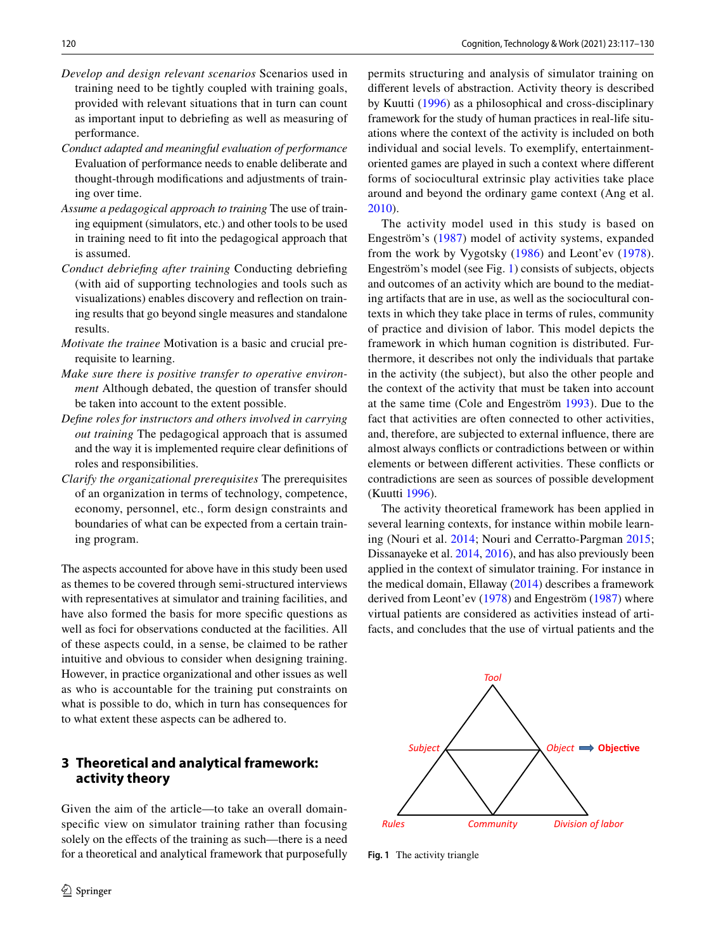- *Develop and design relevant scenarios* Scenarios used in training need to be tightly coupled with training goals, provided with relevant situations that in turn can count as important input to debriefng as well as measuring of performance.
- *Conduct adapted and meaningful evaluation of performance* Evaluation of performance needs to enable deliberate and thought-through modifcations and adjustments of training over time.
- *Assume a pedagogical approach to training* The use of training equipment (simulators, etc.) and other tools to be used in training need to ft into the pedagogical approach that is assumed.
- *Conduct debriefng after training* Conducting debriefng (with aid of supporting technologies and tools such as visualizations) enables discovery and refection on training results that go beyond single measures and standalone results.
- *Motivate the trainee* Motivation is a basic and crucial prerequisite to learning.
- *Make sure there is positive transfer to operative environment* Although debated, the question of transfer should be taken into account to the extent possible.
- *Defne roles for instructors and others involved in carrying out training* The pedagogical approach that is assumed and the way it is implemented require clear defnitions of roles and responsibilities.
- *Clarify the organizational prerequisites* The prerequisites of an organization in terms of technology, competence, economy, personnel, etc., form design constraints and boundaries of what can be expected from a certain training program.

The aspects accounted for above have in this study been used as themes to be covered through semi-structured interviews with representatives at simulator and training facilities, and have also formed the basis for more specifc questions as well as foci for observations conducted at the facilities. All of these aspects could, in a sense, be claimed to be rather intuitive and obvious to consider when designing training. However, in practice organizational and other issues as well as who is accountable for the training put constraints on what is possible to do, which in turn has consequences for to what extent these aspects can be adhered to.

# <span id="page-3-0"></span>**3 Theoretical and analytical framework: activity theory**

Given the aim of the article—to take an overall domainspecific view on simulator training rather than focusing solely on the effects of the training as such—there is a need for a theoretical and analytical framework that purposefully permits structuring and analysis of simulator training on diferent levels of abstraction. Activity theory is described by Kuutti [\(1996](#page-12-18)) as a philosophical and cross-disciplinary framework for the study of human practices in real-life situations where the context of the activity is included on both individual and social levels. To exemplify, entertainmentoriented games are played in such a context where diferent forms of sociocultural extrinsic play activities take place around and beyond the ordinary game context (Ang et al. [2010](#page-12-19)).

The activity model used in this study is based on Engeström's [\(1987\)](#page-12-20) model of activity systems, expanded from the work by Vygotsky ([1986](#page-13-7)) and Leont'ev ([1978](#page-12-21)). Engeström's model (see Fig. [1\)](#page-3-1) consists of subjects, objects and outcomes of an activity which are bound to the mediating artifacts that are in use, as well as the sociocultural contexts in which they take place in terms of rules, community of practice and division of labor. This model depicts the framework in which human cognition is distributed. Furthermore, it describes not only the individuals that partake in the activity (the subject), but also the other people and the context of the activity that must be taken into account at the same time (Cole and Engeström [1993\)](#page-12-22). Due to the fact that activities are often connected to other activities, and, therefore, are subjected to external infuence, there are almost always conficts or contradictions between or within elements or between diferent activities. These conficts or contradictions are seen as sources of possible development (Kuutti [1996\)](#page-12-18).

The activity theoretical framework has been applied in several learning contexts, for instance within mobile learning (Nouri et al. [2014](#page-12-23); Nouri and Cerratto-Pargman [2015](#page-12-24); Dissanayeke et al. [2014,](#page-12-25) [2016\)](#page-12-26), and has also previously been applied in the context of simulator training. For instance in the medical domain, Ellaway ([2014](#page-12-27)) describes a framework derived from Leont'ev [\(1978](#page-12-21)) and Engeström ([1987\)](#page-12-20) where virtual patients are considered as activities instead of artifacts, and concludes that the use of virtual patients and the



<span id="page-3-1"></span>**Fig. 1** The activity triangle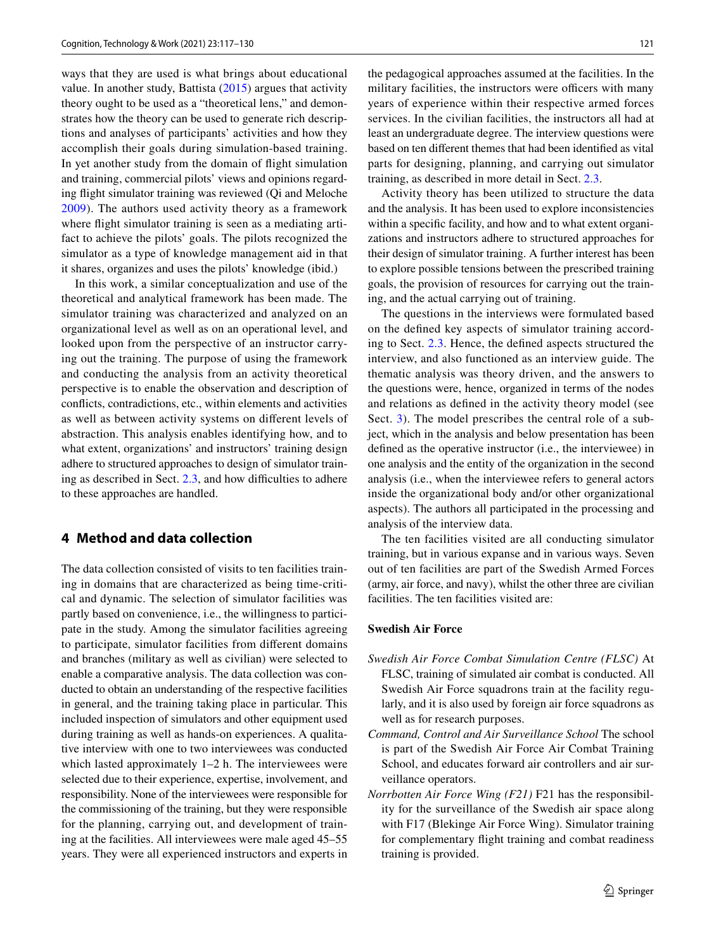ways that they are used is what brings about educational value. In another study, Battista  $(2015)$  $(2015)$  argues that activity theory ought to be used as a "theoretical lens," and demonstrates how the theory can be used to generate rich descriptions and analyses of participants' activities and how they accomplish their goals during simulation-based training. In yet another study from the domain of fight simulation and training, commercial pilots' views and opinions regarding fight simulator training was reviewed (Qi and Meloche [2009\)](#page-13-8). The authors used activity theory as a framework where fight simulator training is seen as a mediating artifact to achieve the pilots' goals. The pilots recognized the simulator as a type of knowledge management aid in that it shares, organizes and uses the pilots' knowledge (ibid.)

In this work, a similar conceptualization and use of the theoretical and analytical framework has been made. The simulator training was characterized and analyzed on an organizational level as well as on an operational level, and looked upon from the perspective of an instructor carrying out the training. The purpose of using the framework and conducting the analysis from an activity theoretical perspective is to enable the observation and description of conficts, contradictions, etc., within elements and activities as well as between activity systems on diferent levels of abstraction. This analysis enables identifying how, and to what extent, organizations' and instructors' training design adhere to structured approaches to design of simulator training as described in Sect.  $2.3$ , and how difficulties to adhere to these approaches are handled.

# <span id="page-4-0"></span>**4 Method and data collection**

The data collection consisted of visits to ten facilities training in domains that are characterized as being time-critical and dynamic. The selection of simulator facilities was partly based on convenience, i.e., the willingness to participate in the study. Among the simulator facilities agreeing to participate, simulator facilities from diferent domains and branches (military as well as civilian) were selected to enable a comparative analysis. The data collection was conducted to obtain an understanding of the respective facilities in general, and the training taking place in particular. This included inspection of simulators and other equipment used during training as well as hands-on experiences. A qualitative interview with one to two interviewees was conducted which lasted approximately 1–2 h. The interviewees were selected due to their experience, expertise, involvement, and responsibility. None of the interviewees were responsible for the commissioning of the training, but they were responsible for the planning, carrying out, and development of training at the facilities. All interviewees were male aged 45–55 years. They were all experienced instructors and experts in the pedagogical approaches assumed at the facilities. In the military facilities, the instructors were officers with many years of experience within their respective armed forces services. In the civilian facilities, the instructors all had at least an undergraduate degree. The interview questions were based on ten diferent themes that had been identifed as vital parts for designing, planning, and carrying out simulator training, as described in more detail in Sect. [2.3.](#page-2-0)

Activity theory has been utilized to structure the data and the analysis. It has been used to explore inconsistencies within a specific facility, and how and to what extent organizations and instructors adhere to structured approaches for their design of simulator training. A further interest has been to explore possible tensions between the prescribed training goals, the provision of resources for carrying out the training, and the actual carrying out of training.

The questions in the interviews were formulated based on the defned key aspects of simulator training according to Sect. [2.3](#page-2-0). Hence, the defned aspects structured the interview, and also functioned as an interview guide. The thematic analysis was theory driven, and the answers to the questions were, hence, organized in terms of the nodes and relations as defned in the activity theory model (see Sect. [3](#page-3-0)). The model prescribes the central role of a subject, which in the analysis and below presentation has been defned as the operative instructor (i.e., the interviewee) in one analysis and the entity of the organization in the second analysis (i.e., when the interviewee refers to general actors inside the organizational body and/or other organizational aspects). The authors all participated in the processing and analysis of the interview data.

The ten facilities visited are all conducting simulator training, but in various expanse and in various ways. Seven out of ten facilities are part of the Swedish Armed Forces (army, air force, and navy), whilst the other three are civilian facilities. The ten facilities visited are:

### **Swedish Air Force**

- *Swedish Air Force Combat Simulation Centre (FLSC)* At FLSC, training of simulated air combat is conducted. All Swedish Air Force squadrons train at the facility regularly, and it is also used by foreign air force squadrons as well as for research purposes.
- *Command, Control and Air Surveillance School* The school is part of the Swedish Air Force Air Combat Training School, and educates forward air controllers and air surveillance operators.
- *Norrbotten Air Force Wing (F21)* F21 has the responsibility for the surveillance of the Swedish air space along with F17 (Blekinge Air Force Wing). Simulator training for complementary fight training and combat readiness training is provided.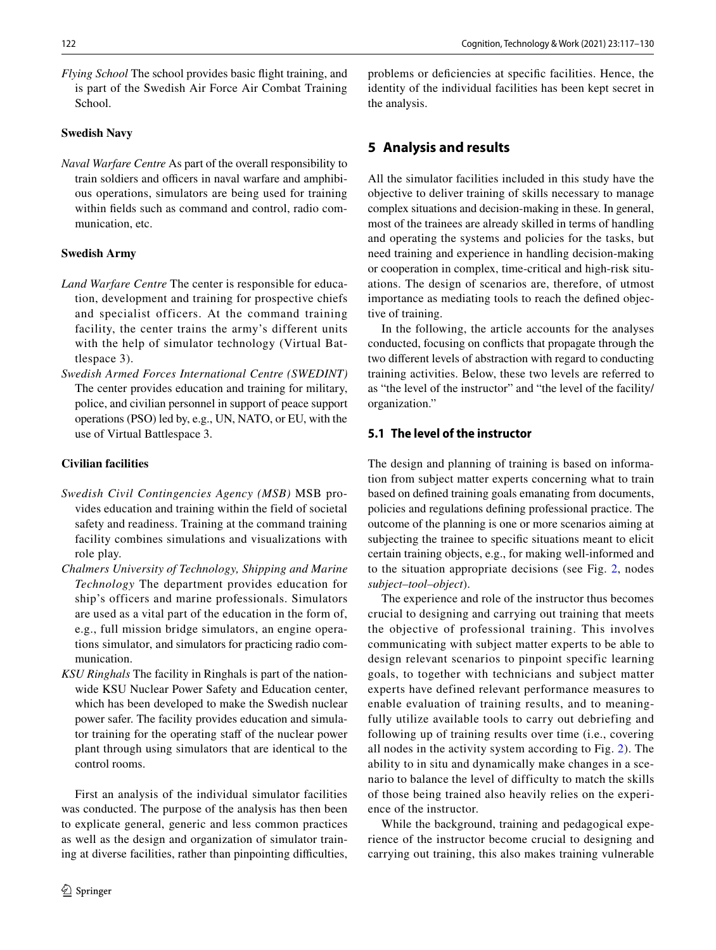*Flying School* The school provides basic fight training, and is part of the Swedish Air Force Air Combat Training School.

### **Swedish Navy**

*Naval Warfare Centre* As part of the overall responsibility to train soldiers and officers in naval warfare and amphibious operations, simulators are being used for training within felds such as command and control, radio communication, etc.

# **Swedish Army**

- *Land Warfare Centre* The center is responsible for education, development and training for prospective chiefs and specialist officers. At the command training facility, the center trains the army's different units with the help of simulator technology (Virtual Battlespace 3).
- *Swedish Armed Forces International Centre (SWEDINT)* The center provides education and training for military, police, and civilian personnel in support of peace support operations (PSO) led by, e.g., UN, NATO, or EU, with the use of Virtual Battlespace 3.

# **Civilian facilities**

- *Swedish Civil Contingencies Agency (MSB)* MSB provides education and training within the field of societal safety and readiness. Training at the command training facility combines simulations and visualizations with role play.
- *Chalmers University of Technology, Shipping and Marine Technology* The department provides education for ship's officers and marine professionals. Simulators are used as a vital part of the education in the form of, e.g., full mission bridge simulators, an engine operations simulator, and simulators for practicing radio communication.
- *KSU Ringhals* The facility in Ringhals is part of the nationwide KSU Nuclear Power Safety and Education center, which has been developed to make the Swedish nuclear power safer. The facility provides education and simulator training for the operating staff of the nuclear power plant through using simulators that are identical to the control rooms.

First an analysis of the individual simulator facilities was conducted. The purpose of the analysis has then been to explicate general, generic and less common practices as well as the design and organization of simulator training at diverse facilities, rather than pinpointing difficulties, problems or defciencies at specifc facilities. Hence, the identity of the individual facilities has been kept secret in the analysis.

# <span id="page-5-0"></span>**5 Analysis and results**

All the simulator facilities included in this study have the objective to deliver training of skills necessary to manage complex situations and decision-making in these. In general, most of the trainees are already skilled in terms of handling and operating the systems and policies for the tasks, but need training and experience in handling decision-making or cooperation in complex, time-critical and high-risk situations. The design of scenarios are, therefore, of utmost importance as mediating tools to reach the defned objective of training.

In the following, the article accounts for the analyses conducted, focusing on conficts that propagate through the two diferent levels of abstraction with regard to conducting training activities. Below, these two levels are referred to as "the level of the instructor" and "the level of the facility/ organization."

# **5.1 The level of the instructor**

The design and planning of training is based on information from subject matter experts concerning what to train based on defned training goals emanating from documents, policies and regulations defning professional practice. The outcome of the planning is one or more scenarios aiming at subjecting the trainee to specifc situations meant to elicit certain training objects, e.g., for making well-informed and to the situation appropriate decisions (see Fig. [2,](#page-6-0) nodes *subject–tool–object*).

The experience and role of the instructor thus becomes crucial to designing and carrying out training that meets the objective of professional training. This involves communicating with subject matter experts to be able to design relevant scenarios to pinpoint specific learning goals, to together with technicians and subject matter experts have defined relevant performance measures to enable evaluation of training results, and to meaningfully utilize available tools to carry out debriefing and following up of training results over time (i.e., covering all nodes in the activity system according to Fig. [2](#page-6-0)). The ability to in situ and dynamically make changes in a scenario to balance the level of difficulty to match the skills of those being trained also heavily relies on the experience of the instructor.

While the background, training and pedagogical experience of the instructor become crucial to designing and carrying out training, this also makes training vulnerable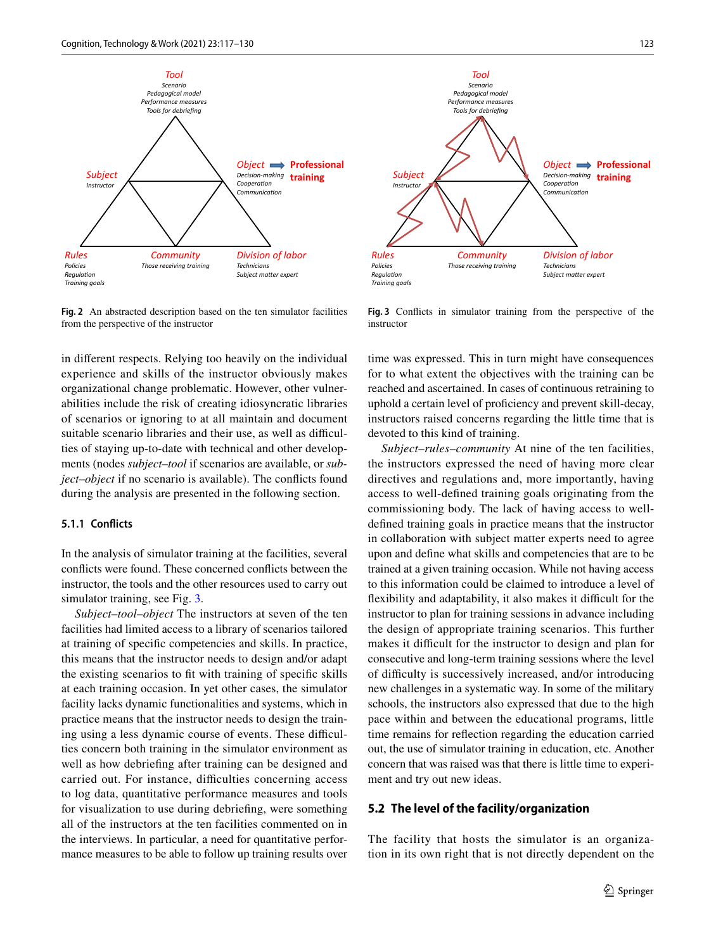

<span id="page-6-0"></span>**Fig. 2** An abstracted description based on the ten simulator facilities from the perspective of the instructor

in diferent respects. Relying too heavily on the individual experience and skills of the instructor obviously makes organizational change problematic. However, other vulnerabilities include the risk of creating idiosyncratic libraries of scenarios or ignoring to at all maintain and document suitable scenario libraries and their use, as well as difficulties of staying up-to-date with technical and other developments (nodes *subject–tool* if scenarios are available, or *subject–object* if no scenario is available). The conficts found during the analysis are presented in the following section.

#### **5.1.1 Conficts**

In the analysis of simulator training at the facilities, several conficts were found. These concerned conficts between the instructor, the tools and the other resources used to carry out simulator training, see Fig. [3.](#page-6-1)

*Subject–tool–object* The instructors at seven of the ten facilities had limited access to a library of scenarios tailored at training of specifc competencies and skills. In practice, this means that the instructor needs to design and/or adapt the existing scenarios to ft with training of specifc skills at each training occasion. In yet other cases, the simulator facility lacks dynamic functionalities and systems, which in practice means that the instructor needs to design the training using a less dynamic course of events. These difficulties concern both training in the simulator environment as well as how debriefng after training can be designed and carried out. For instance, difficulties concerning access to log data, quantitative performance measures and tools for visualization to use during debriefng, were something all of the instructors at the ten facilities commented on in the interviews. In particular, a need for quantitative performance measures to be able to follow up training results over



<span id="page-6-1"></span>**Fig. 3** Conficts in simulator training from the perspective of the instructor

time was expressed. This in turn might have consequences for to what extent the objectives with the training can be reached and ascertained. In cases of continuous retraining to uphold a certain level of profciency and prevent skill-decay, instructors raised concerns regarding the little time that is devoted to this kind of training.

*Subject–rules–community* At nine of the ten facilities, the instructors expressed the need of having more clear directives and regulations and, more importantly, having access to well-defned training goals originating from the commissioning body. The lack of having access to welldefned training goals in practice means that the instructor in collaboration with subject matter experts need to agree upon and defne what skills and competencies that are to be trained at a given training occasion. While not having access to this information could be claimed to introduce a level of flexibility and adaptability, it also makes it difficult for the instructor to plan for training sessions in advance including the design of appropriate training scenarios. This further makes it difficult for the instructor to design and plan for consecutive and long-term training sessions where the level of difculty is successively increased, and/or introducing new challenges in a systematic way. In some of the military schools, the instructors also expressed that due to the high pace within and between the educational programs, little time remains for refection regarding the education carried out, the use of simulator training in education, etc. Another concern that was raised was that there is little time to experiment and try out new ideas.

### **5.2 The level of the facility/organization**

The facility that hosts the simulator is an organization in its own right that is not directly dependent on the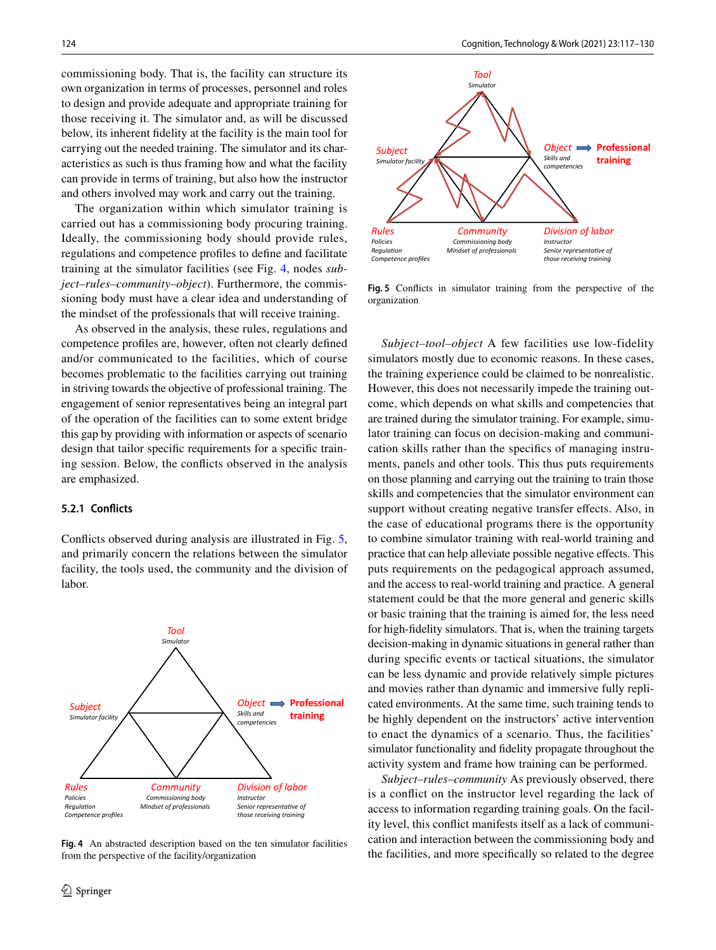commissioning body. That is, the facility can structure its own organization in terms of processes, personnel and roles to design and provide adequate and appropriate training for those receiving it. The simulator and, as will be discussed below, its inherent fdelity at the facility is the main tool for carrying out the needed training. The simulator and its characteristics as such is thus framing how and what the facility can provide in terms of training, but also how the instructor and others involved may work and carry out the training.

The organization within which simulator training is carried out has a commissioning body procuring training. Ideally, the commissioning body should provide rules, regulations and competence profles to defne and facilitate training at the simulator facilities (see Fig. [4,](#page-7-0) nodes *subject–rules–community–object*). Furthermore, the commissioning body must have a clear idea and understanding of the mindset of the professionals that will receive training.

As observed in the analysis, these rules, regulations and competence profles are, however, often not clearly defned and/or communicated to the facilities, which of course becomes problematic to the facilities carrying out training in striving towards the objective of professional training. The engagement of senior representatives being an integral part of the operation of the facilities can to some extent bridge this gap by providing with information or aspects of scenario design that tailor specifc requirements for a specifc training session. Below, the conficts observed in the analysis are emphasized.

#### **5.2.1 Conficts**

Conficts observed during analysis are illustrated in Fig. [5,](#page-7-1) and primarily concern the relations between the simulator facility, the tools used, the community and the division of labor.



<span id="page-7-0"></span>**Fig. 4** An abstracted description based on the ten simulator facilities from the perspective of the facility/organization



<span id="page-7-1"></span>**Fig. 5** Conficts in simulator training from the perspective of the organization

*Subject–tool–object* A few facilities use low-fidelity simulators mostly due to economic reasons. In these cases, the training experience could be claimed to be nonrealistic. However, this does not necessarily impede the training outcome, which depends on what skills and competencies that are trained during the simulator training. For example, simulator training can focus on decision-making and communication skills rather than the specifcs of managing instruments, panels and other tools. This thus puts requirements on those planning and carrying out the training to train those skills and competencies that the simulator environment can support without creating negative transfer effects. Also, in the case of educational programs there is the opportunity to combine simulator training with real-world training and practice that can help alleviate possible negative efects. This puts requirements on the pedagogical approach assumed, and the access to real-world training and practice. A general statement could be that the more general and generic skills or basic training that the training is aimed for, the less need for high-fdelity simulators. That is, when the training targets decision-making in dynamic situations in general rather than during specifc events or tactical situations, the simulator can be less dynamic and provide relatively simple pictures and movies rather than dynamic and immersive fully replicated environments. At the same time, such training tends to be highly dependent on the instructors' active intervention to enact the dynamics of a scenario. Thus, the facilities' simulator functionality and fdelity propagate throughout the activity system and frame how training can be performed.

*Subject–rules–community* As previously observed, there is a confict on the instructor level regarding the lack of access to information regarding training goals. On the facility level, this confict manifests itself as a lack of communication and interaction between the commissioning body and the facilities, and more specifcally so related to the degree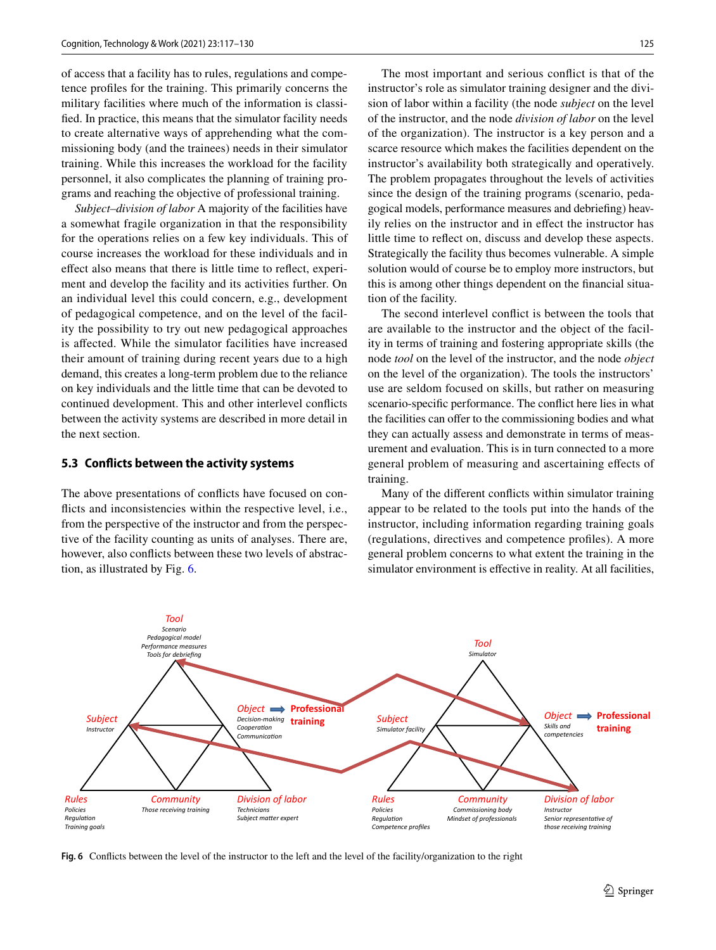of access that a facility has to rules, regulations and competence profles for the training. This primarily concerns the military facilities where much of the information is classifed. In practice, this means that the simulator facility needs to create alternative ways of apprehending what the commissioning body (and the trainees) needs in their simulator training. While this increases the workload for the facility personnel, it also complicates the planning of training programs and reaching the objective of professional training.

*Subject–division of labor* A majority of the facilities have a somewhat fragile organization in that the responsibility for the operations relies on a few key individuals. This of course increases the workload for these individuals and in efect also means that there is little time to refect, experiment and develop the facility and its activities further. On an individual level this could concern, e.g., development of pedagogical competence, and on the level of the facility the possibility to try out new pedagogical approaches is afected. While the simulator facilities have increased their amount of training during recent years due to a high demand, this creates a long-term problem due to the reliance on key individuals and the little time that can be devoted to continued development. This and other interlevel conficts between the activity systems are described in more detail in the next section.

#### **5.3 Conficts between the activity systems**

The above presentations of conficts have focused on conficts and inconsistencies within the respective level, i.e., from the perspective of the instructor and from the perspective of the facility counting as units of analyses. There are, however, also conficts between these two levels of abstraction, as illustrated by Fig. [6](#page-8-0).

The most important and serious confict is that of the instructor's role as simulator training designer and the division of labor within a facility (the node *subject* on the level of the instructor, and the node *division of labor* on the level of the organization). The instructor is a key person and a scarce resource which makes the facilities dependent on the instructor's availability both strategically and operatively. The problem propagates throughout the levels of activities since the design of the training programs (scenario, pedagogical models, performance measures and debriefng) heavily relies on the instructor and in efect the instructor has little time to refect on, discuss and develop these aspects. Strategically the facility thus becomes vulnerable. A simple solution would of course be to employ more instructors, but this is among other things dependent on the fnancial situation of the facility.

The second interlevel confict is between the tools that are available to the instructor and the object of the facility in terms of training and fostering appropriate skills (the node *tool* on the level of the instructor, and the node *object* on the level of the organization). The tools the instructors' use are seldom focused on skills, but rather on measuring scenario-specifc performance. The confict here lies in what the facilities can offer to the commissioning bodies and what they can actually assess and demonstrate in terms of measurement and evaluation. This is in turn connected to a more general problem of measuring and ascertaining efects of training.

Many of the diferent conficts within simulator training appear to be related to the tools put into the hands of the instructor, including information regarding training goals (regulations, directives and competence profles). A more general problem concerns to what extent the training in the simulator environment is effective in reality. At all facilities,



<span id="page-8-0"></span>**Fig. 6** Conficts between the level of the instructor to the left and the level of the facility/organization to the right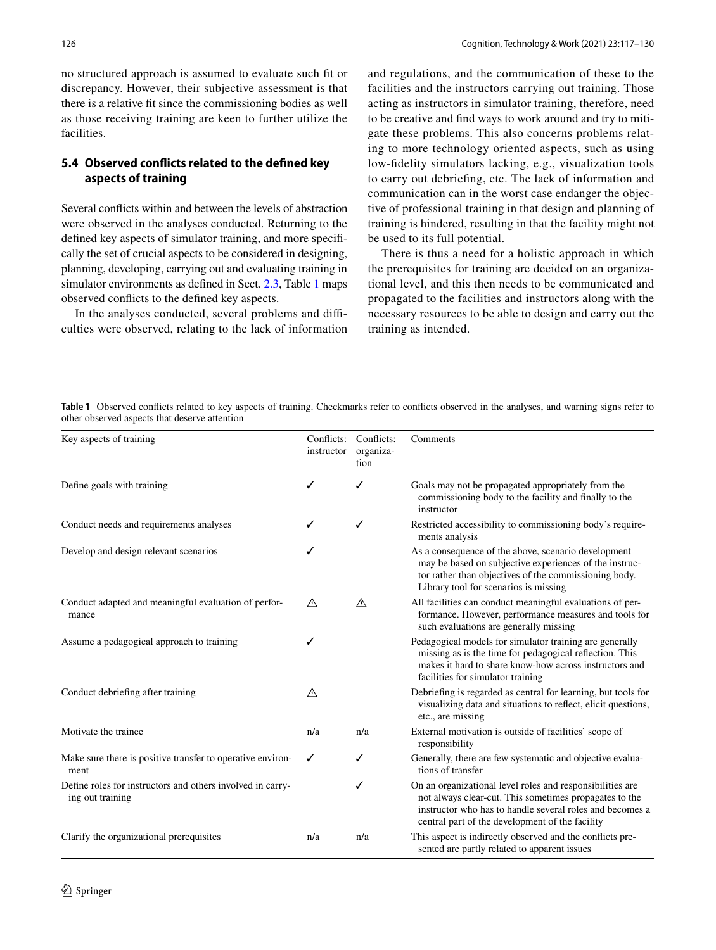no structured approach is assumed to evaluate such ft or discrepancy. However, their subjective assessment is that there is a relative ft since the commissioning bodies as well as those receiving training are keen to further utilize the facilities.

# **5.4 Observed conficts related to the defned key aspects of training**

Several conficts within and between the levels of abstraction were observed in the analyses conducted. Returning to the defned key aspects of simulator training, and more specifcally the set of crucial aspects to be considered in designing, planning, developing, carrying out and evaluating training in simulator environments as defined in Sect. [2.3,](#page-2-0) Table [1](#page-9-0) maps observed conficts to the defned key aspects.

In the analyses conducted, several problems and difficulties were observed, relating to the lack of information and regulations, and the communication of these to the facilities and the instructors carrying out training. Those acting as instructors in simulator training, therefore, need to be creative and fnd ways to work around and try to mitigate these problems. This also concerns problems relating to more technology oriented aspects, such as using low-fdelity simulators lacking, e.g., visualization tools to carry out debriefng, etc. The lack of information and communication can in the worst case endanger the objective of professional training in that design and planning of training is hindered, resulting in that the facility might not be used to its full potential.

There is thus a need for a holistic approach in which the prerequisites for training are decided on an organizational level, and this then needs to be communicated and propagated to the facilities and instructors along with the necessary resources to be able to design and carry out the training as intended.

<span id="page-9-0"></span>**Table 1** Observed conficts related to key aspects of training. Checkmarks refer to conficts observed in the analyses, and warning signs refer to other observed aspects that deserve attention

| Key aspects of training                                                        | Conflicts:<br>instructor | Conflicts:<br>organiza-<br>tion | Comments                                                                                                                                                                                                                           |
|--------------------------------------------------------------------------------|--------------------------|---------------------------------|------------------------------------------------------------------------------------------------------------------------------------------------------------------------------------------------------------------------------------|
| Define goals with training                                                     | ✓                        | ✓                               | Goals may not be propagated appropriately from the<br>commissioning body to the facility and finally to the<br>instructor                                                                                                          |
| Conduct needs and requirements analyses                                        | ✓                        | ✓                               | Restricted accessibility to commissioning body's require-<br>ments analysis                                                                                                                                                        |
| Develop and design relevant scenarios                                          |                          |                                 | As a consequence of the above, scenario development<br>may be based on subjective experiences of the instruc-<br>tor rather than objectives of the commissioning body.<br>Library tool for scenarios is missing                    |
| Conduct adapted and meaningful evaluation of perfor-<br>mance                  | $\wedge$                 | Λ                               | All facilities can conduct meaningful evaluations of per-<br>formance. However, performance measures and tools for<br>such evaluations are generally missing                                                                       |
| Assume a pedagogical approach to training                                      | ✓                        |                                 | Pedagogical models for simulator training are generally<br>missing as is the time for pedagogical reflection. This<br>makes it hard to share know-how across instructors and<br>facilities for simulator training                  |
| Conduct debriefing after training                                              | Λ                        |                                 | Debriefing is regarded as central for learning, but tools for<br>visualizing data and situations to reflect, elicit questions,<br>etc., are missing                                                                                |
| Motivate the trainee                                                           | n/a                      | n/a                             | External motivation is outside of facilities' scope of<br>responsibility                                                                                                                                                           |
| Make sure there is positive transfer to operative environ-<br>ment             | ✓                        | ✓                               | Generally, there are few systematic and objective evalua-<br>tions of transfer                                                                                                                                                     |
| Define roles for instructors and others involved in carry-<br>ing out training |                          |                                 | On an organizational level roles and responsibilities are<br>not always clear-cut. This sometimes propagates to the<br>instructor who has to handle several roles and becomes a<br>central part of the development of the facility |
| Clarify the organizational prerequisites                                       | n/a                      | n/a                             | This aspect is indirectly observed and the conflicts pre-<br>sented are partly related to apparent issues                                                                                                                          |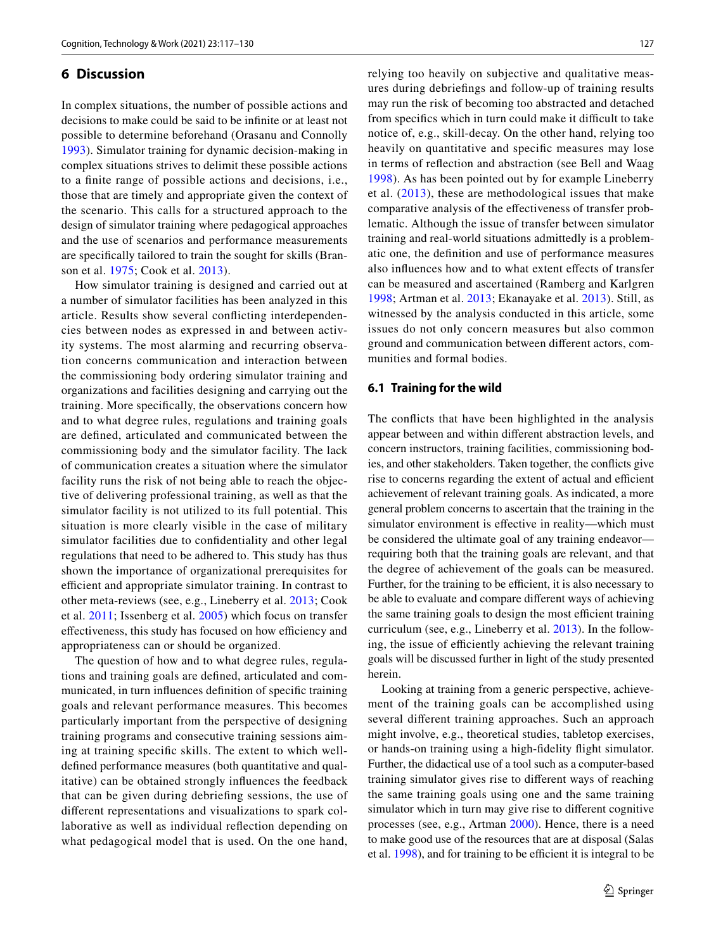#### <span id="page-10-0"></span>**6 Discussion**

In complex situations, the number of possible actions and decisions to make could be said to be infnite or at least not possible to determine beforehand (Orasanu and Connolly [1993\)](#page-13-0). Simulator training for dynamic decision-making in complex situations strives to delimit these possible actions to a fnite range of possible actions and decisions, i.e., those that are timely and appropriate given the context of the scenario. This calls for a structured approach to the design of simulator training where pedagogical approaches and the use of scenarios and performance measurements are specifcally tailored to train the sought for skills (Branson et al. [1975;](#page-12-16) Cook et al. [2013\)](#page-12-11).

How simulator training is designed and carried out at a number of simulator facilities has been analyzed in this article. Results show several conficting interdependencies between nodes as expressed in and between activity systems. The most alarming and recurring observation concerns communication and interaction between the commissioning body ordering simulator training and organizations and facilities designing and carrying out the training. More specifcally, the observations concern how and to what degree rules, regulations and training goals are defned, articulated and communicated between the commissioning body and the simulator facility. The lack of communication creates a situation where the simulator facility runs the risk of not being able to reach the objective of delivering professional training, as well as that the simulator facility is not utilized to its full potential. This situation is more clearly visible in the case of military simulator facilities due to confdentiality and other legal regulations that need to be adhered to. This study has thus shown the importance of organizational prerequisites for efficient and appropriate simulator training. In contrast to other meta-reviews (see, e.g., Lineberry et al. [2013;](#page-12-8) Cook et al. [2011;](#page-12-9) Issenberg et al. [2005](#page-12-10)) which focus on transfer effectiveness, this study has focused on how efficiency and appropriateness can or should be organized.

The question of how and to what degree rules, regulations and training goals are defned, articulated and communicated, in turn infuences defnition of specifc training goals and relevant performance measures. This becomes particularly important from the perspective of designing training programs and consecutive training sessions aiming at training specifc skills. The extent to which welldefned performance measures (both quantitative and qualitative) can be obtained strongly infuences the feedback that can be given during debriefng sessions, the use of diferent representations and visualizations to spark collaborative as well as individual refection depending on what pedagogical model that is used. On the one hand,

relying too heavily on subjective and qualitative measures during debriefngs and follow-up of training results may run the risk of becoming too abstracted and detached from specifics which in turn could make it difficult to take notice of, e.g., skill-decay. On the other hand, relying too heavily on quantitative and specifc measures may lose in terms of refection and abstraction (see Bell and Waag [1998\)](#page-12-14). As has been pointed out by for example Lineberry et al. ([2013\)](#page-12-8), these are methodological issues that make comparative analysis of the efectiveness of transfer problematic. Although the issue of transfer between simulator training and real-world situations admittedly is a problematic one, the defnition and use of performance measures also infuences how and to what extent efects of transfer can be measured and ascertained (Ramberg and Karlgren [1998;](#page-13-9) Artman et al. [2013](#page-12-15); Ekanayake et al. [2013\)](#page-12-29). Still, as witnessed by the analysis conducted in this article, some issues do not only concern measures but also common ground and communication between diferent actors, communities and formal bodies.

#### **6.1 Training for the wild**

The conficts that have been highlighted in the analysis appear between and within diferent abstraction levels, and concern instructors, training facilities, commissioning bodies, and other stakeholders. Taken together, the conficts give rise to concerns regarding the extent of actual and efficient achievement of relevant training goals. As indicated, a more general problem concerns to ascertain that the training in the simulator environment is efective in reality—which must be considered the ultimate goal of any training endeavor requiring both that the training goals are relevant, and that the degree of achievement of the goals can be measured. Further, for the training to be efficient, it is also necessary to be able to evaluate and compare diferent ways of achieving the same training goals to design the most efficient training curriculum (see, e.g., Lineberry et al. [2013\)](#page-12-8). In the following, the issue of efficiently achieving the relevant training goals will be discussed further in light of the study presented herein.

Looking at training from a generic perspective, achievement of the training goals can be accomplished using several diferent training approaches. Such an approach might involve, e.g., theoretical studies, tabletop exercises, or hands-on training using a high-fdelity fight simulator. Further, the didactical use of a tool such as a computer-based training simulator gives rise to diferent ways of reaching the same training goals using one and the same training simulator which in turn may give rise to diferent cognitive processes (see, e.g., Artman [2000\)](#page-12-4). Hence, there is a need to make good use of the resources that are at disposal (Salas et al. [1998](#page-13-10)), and for training to be efficient it is integral to be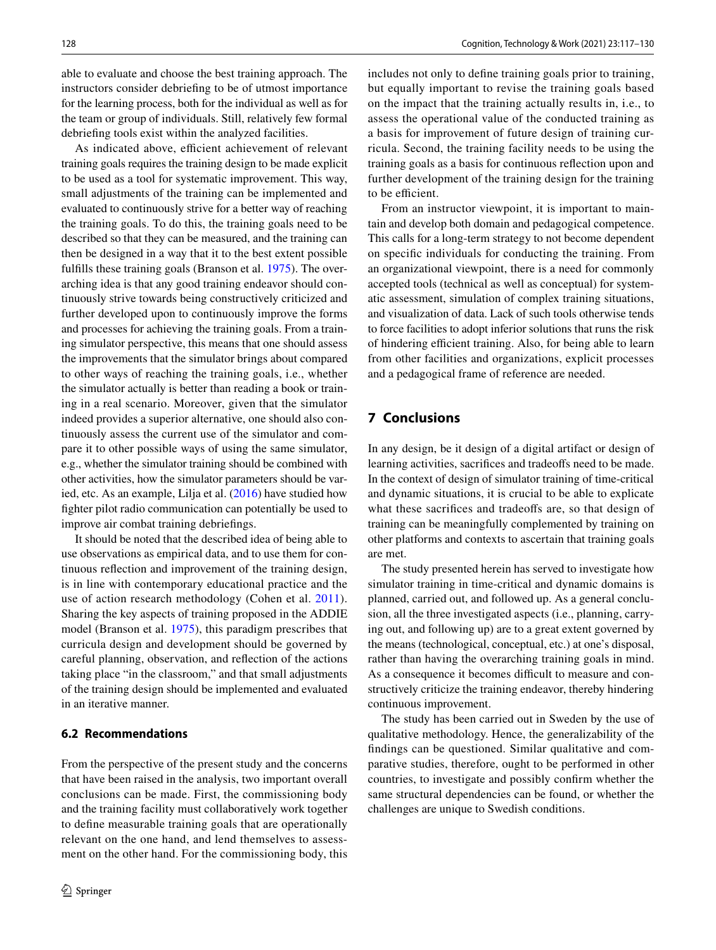able to evaluate and choose the best training approach. The instructors consider debriefng to be of utmost importance for the learning process, both for the individual as well as for the team or group of individuals. Still, relatively few formal debriefng tools exist within the analyzed facilities.

As indicated above, efficient achievement of relevant training goals requires the training design to be made explicit to be used as a tool for systematic improvement. This way, small adjustments of the training can be implemented and evaluated to continuously strive for a better way of reaching the training goals. To do this, the training goals need to be described so that they can be measured, and the training can then be designed in a way that it to the best extent possible fulfills these training goals (Branson et al. [1975](#page-12-16)). The overarching idea is that any good training endeavor should continuously strive towards being constructively criticized and further developed upon to continuously improve the forms and processes for achieving the training goals. From a training simulator perspective, this means that one should assess the improvements that the simulator brings about compared to other ways of reaching the training goals, i.e., whether the simulator actually is better than reading a book or training in a real scenario. Moreover, given that the simulator indeed provides a superior alternative, one should also continuously assess the current use of the simulator and compare it to other possible ways of using the same simulator, e.g., whether the simulator training should be combined with other activities, how the simulator parameters should be varied, etc. As an example, Lilja et al. [\(2016\)](#page-12-30) have studied how fghter pilot radio communication can potentially be used to improve air combat training debriefngs.

It should be noted that the described idea of being able to use observations as empirical data, and to use them for continuous refection and improvement of the training design, is in line with contemporary educational practice and the use of action research methodology (Cohen et al. [2011](#page-12-31)). Sharing the key aspects of training proposed in the ADDIE model (Branson et al. [1975](#page-12-16)), this paradigm prescribes that curricula design and development should be governed by careful planning, observation, and refection of the actions taking place "in the classroom," and that small adjustments of the training design should be implemented and evaluated in an iterative manner.

### **6.2 Recommendations**

From the perspective of the present study and the concerns that have been raised in the analysis, two important overall conclusions can be made. First, the commissioning body and the training facility must collaboratively work together to defne measurable training goals that are operationally relevant on the one hand, and lend themselves to assessment on the other hand. For the commissioning body, this includes not only to defne training goals prior to training, but equally important to revise the training goals based on the impact that the training actually results in, i.e., to assess the operational value of the conducted training as a basis for improvement of future design of training curricula. Second, the training facility needs to be using the training goals as a basis for continuous refection upon and further development of the training design for the training to be efficient.

From an instructor viewpoint, it is important to maintain and develop both domain and pedagogical competence. This calls for a long-term strategy to not become dependent on specifc individuals for conducting the training. From an organizational viewpoint, there is a need for commonly accepted tools (technical as well as conceptual) for systematic assessment, simulation of complex training situations, and visualization of data. Lack of such tools otherwise tends to force facilities to adopt inferior solutions that runs the risk of hindering efficient training. Also, for being able to learn from other facilities and organizations, explicit processes and a pedagogical frame of reference are needed.

# <span id="page-11-0"></span>**7 Conclusions**

In any design, be it design of a digital artifact or design of learning activities, sacrifces and tradeofs need to be made. In the context of design of simulator training of time-critical and dynamic situations, it is crucial to be able to explicate what these sacrifices and tradeoffs are, so that design of training can be meaningfully complemented by training on other platforms and contexts to ascertain that training goals are met.

The study presented herein has served to investigate how simulator training in time-critical and dynamic domains is planned, carried out, and followed up. As a general conclusion, all the three investigated aspects (i.e., planning, carrying out, and following up) are to a great extent governed by the means (technological, conceptual, etc.) at one's disposal, rather than having the overarching training goals in mind. As a consequence it becomes difficult to measure and constructively criticize the training endeavor, thereby hindering continuous improvement.

The study has been carried out in Sweden by the use of qualitative methodology. Hence, the generalizability of the fndings can be questioned. Similar qualitative and comparative studies, therefore, ought to be performed in other countries, to investigate and possibly confrm whether the same structural dependencies can be found, or whether the challenges are unique to Swedish conditions.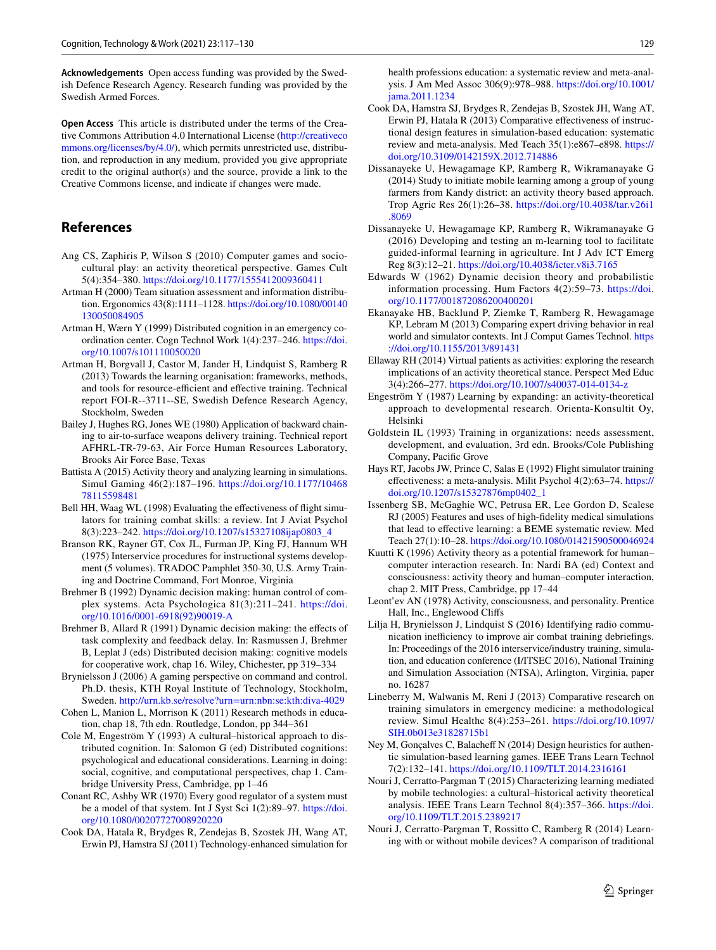**Acknowledgements** Open access funding was provided by the Swedish Defence Research Agency. Research funding was provided by the Swedish Armed Forces.

**Open Access** This article is distributed under the terms of the Creative Commons Attribution 4.0 International License [\(http://creativeco](http://creativecommons.org/licenses/by/4.0/) [mmons.org/licenses/by/4.0/](http://creativecommons.org/licenses/by/4.0/)), which permits unrestricted use, distribution, and reproduction in any medium, provided you give appropriate credit to the original author(s) and the source, provide a link to the Creative Commons license, and indicate if changes were made.

# **References**

- <span id="page-12-19"></span>Ang CS, Zaphiris P, Wilson S (2010) Computer games and sociocultural play: an activity theoretical perspective. Games Cult 5(4):354–380.<https://doi.org/10.1177/1555412009360411>
- <span id="page-12-4"></span>Artman H (2000) Team situation assessment and information distribution. Ergonomics 43(8):1111–1128. [https://doi.org/10.1080/00140](https://doi.org/10.1080/00140130050084905) [130050084905](https://doi.org/10.1080/00140130050084905)
- <span id="page-12-5"></span>Artman H, Wærn Y (1999) Distributed cognition in an emergency coordination center. Cogn Technol Work 1(4):237–246. [https://doi.](https://doi.org/10.1007/s101110050020) [org/10.1007/s101110050020](https://doi.org/10.1007/s101110050020)
- <span id="page-12-15"></span>Artman H, Borgvall J, Castor M, Jander H, Lindquist S, Ramberg R (2013) Towards the learning organisation: frameworks, methods, and tools for resource-efficient and effective training. Technical report FOI-R--3711--SE, Swedish Defence Research Agency, Stockholm, Sweden
- <span id="page-12-13"></span>Bailey J, Hughes RG, Jones WE (1980) Application of backward chaining to air-to-surface weapons delivery training. Technical report AFHRL-TR-79-63, Air Force Human Resources Laboratory, Brooks Air Force Base, Texas
- <span id="page-12-28"></span>Battista A (2015) Activity theory and analyzing learning in simulations. Simul Gaming 46(2):187–196. [https://doi.org/10.1177/10468](https://doi.org/10.1177/1046878115598481) [78115598481](https://doi.org/10.1177/1046878115598481)
- <span id="page-12-14"></span>Bell HH, Waag WL (1998) Evaluating the effectiveness of flight simulators for training combat skills: a review. Int J Aviat Psychol 8(3):223–242. [https://doi.org/10.1207/s15327108ijap0803\\_4](https://doi.org/10.1207/s15327108ijap0803_4)
- <span id="page-12-16"></span>Branson RK, Rayner GT, Cox JL, Furman JP, King FJ, Hannum WH (1975) Interservice procedures for instructional systems development (5 volumes). TRADOC Pamphlet 350-30, U.S. Army Training and Doctrine Command, Fort Monroe, Virginia
- <span id="page-12-2"></span>Brehmer B (1992) Dynamic decision making: human control of complex systems. Acta Psychologica 81(3):211–241. [https://doi.](https://doi.org/10.1016/0001-6918(92)90019-A) [org/10.1016/0001-6918\(92\)90019-A](https://doi.org/10.1016/0001-6918(92)90019-A)
- <span id="page-12-1"></span>Brehmer B, Allard R (1991) Dynamic decision making: the efects of task complexity and feedback delay. In: Rasmussen J, Brehmer B, Leplat J (eds) Distributed decision making: cognitive models for cooperative work, chap 16. Wiley, Chichester, pp 319–334
- <span id="page-12-6"></span>Brynielsson J (2006) A gaming perspective on command and control. Ph.D. thesis, KTH Royal Institute of Technology, Stockholm, Sweden.<http://urn.kb.se/resolve?urn=urn:nbn:se:kth:diva-4029>
- <span id="page-12-31"></span>Cohen L, Manion L, Morrison K (2011) Research methods in education, chap 18, 7th edn. Routledge, London, pp 344–361
- <span id="page-12-22"></span>Cole M, Engeström Y (1993) A cultural–historical approach to distributed cognition. In: Salomon G (ed) Distributed cognitions: psychological and educational considerations. Learning in doing: social, cognitive, and computational perspectives, chap 1. Cambridge University Press, Cambridge, pp 1–46
- <span id="page-12-3"></span>Conant RC, Ashby WR (1970) Every good regulator of a system must be a model of that system. Int J Syst Sci 1(2):89–97. [https://doi.](https://doi.org/10.1080/00207727008920220) [org/10.1080/00207727008920220](https://doi.org/10.1080/00207727008920220)
- <span id="page-12-9"></span>Cook DA, Hatala R, Brydges R, Zendejas B, Szostek JH, Wang AT, Erwin PJ, Hamstra SJ (2011) Technology-enhanced simulation for

health professions education: a systematic review and meta-analysis. J Am Med Assoc 306(9):978–988. [https://doi.org/10.1001/](https://doi.org/10.1001/jama.2011.1234) [jama.2011.1234](https://doi.org/10.1001/jama.2011.1234)

- <span id="page-12-11"></span>Cook DA, Hamstra SJ, Brydges R, Zendejas B, Szostek JH, Wang AT, Erwin PJ, Hatala R (2013) Comparative efectiveness of instructional design features in simulation-based education: systematic review and meta-analysis. Med Teach 35(1):e867–e898. [https://](https://doi.org/10.3109/0142159X.2012.714886) [doi.org/10.3109/0142159X.2012.714886](https://doi.org/10.3109/0142159X.2012.714886)
- <span id="page-12-25"></span>Dissanayeke U, Hewagamage KP, Ramberg R, Wikramanayake G (2014) Study to initiate mobile learning among a group of young farmers from Kandy district: an activity theory based approach. Trop Agric Res 26(1):26–38. [https://doi.org/10.4038/tar.v26i1](https://doi.org/10.4038/tar.v26i1.8069) [.8069](https://doi.org/10.4038/tar.v26i1.8069)
- <span id="page-12-26"></span>Dissanayeke U, Hewagamage KP, Ramberg R, Wikramanayake G (2016) Developing and testing an m-learning tool to facilitate guided-informal learning in agriculture. Int J Adv ICT Emerg Reg 8(3):12–21.<https://doi.org/10.4038/icter.v8i3.7165>
- <span id="page-12-0"></span>Edwards W (1962) Dynamic decision theory and probabilistic information processing. Hum Factors 4(2):59–73. [https://doi.](https://doi.org/10.1177/001872086200400201) [org/10.1177/001872086200400201](https://doi.org/10.1177/001872086200400201)
- <span id="page-12-29"></span>Ekanayake HB, Backlund P, Ziemke T, Ramberg R, Hewagamage KP, Lebram M (2013) Comparing expert driving behavior in real world and simulator contexts. Int J Comput Games Technol. [https](https://doi.org/10.1155/2013/891431) [://doi.org/10.1155/2013/891431](https://doi.org/10.1155/2013/891431)
- <span id="page-12-27"></span>Ellaway RH (2014) Virtual patients as activities: exploring the research implications of an activity theoretical stance. Perspect Med Educ 3(4):266–277.<https://doi.org/10.1007/s40037-014-0134-z>
- <span id="page-12-20"></span>Engeström Y (1987) Learning by expanding: an activity-theoretical approach to developmental research. Orienta-Konsultit Oy, Helsinki
- <span id="page-12-17"></span>Goldstein IL (1993) Training in organizations: needs assessment, development, and evaluation, 3rd edn. Brooks/Cole Publishing Company, Pacifc Grove
- <span id="page-12-12"></span>Hays RT, Jacobs JW, Prince C, Salas E (1992) Flight simulator training efectiveness: a meta-analysis. Milit Psychol 4(2):63–74. [https://](https://doi.org/10.1207/s15327876mp0402_1) [doi.org/10.1207/s15327876mp0402\\_1](https://doi.org/10.1207/s15327876mp0402_1)
- <span id="page-12-10"></span>Issenberg SB, McGaghie WC, Petrusa ER, Lee Gordon D, Scalese RJ (2005) Features and uses of high-fdelity medical simulations that lead to efective learning: a BEME systematic review. Med Teach 27(1):10–28. <https://doi.org/10.1080/01421590500046924>
- <span id="page-12-18"></span>Kuutti K (1996) Activity theory as a potential framework for human– computer interaction research. In: Nardi BA (ed) Context and consciousness: activity theory and human–computer interaction, chap 2. MIT Press, Cambridge, pp 17–44
- <span id="page-12-21"></span>Leont'ev AN (1978) Activity, consciousness, and personality. Prentice Hall, Inc., Englewood Clifs
- <span id="page-12-30"></span>Lilja H, Brynielsson J, Lindquist S (2016) Identifying radio communication inefficiency to improve air combat training debriefings. In: Proceedings of the 2016 interservice/industry training, simulation, and education conference (I/ITSEC 2016), National Training and Simulation Association (NTSA), Arlington, Virginia, paper no. 16287
- <span id="page-12-8"></span>Lineberry M, Walwanis M, Reni J (2013) Comparative research on training simulators in emergency medicine: a methodological review. Simul Healthc 8(4):253–261. [https://doi.org/10.1097/](https://doi.org/10.1097/SIH.0b013e31828715b1) [SIH.0b013e31828715b1](https://doi.org/10.1097/SIH.0b013e31828715b1)
- <span id="page-12-7"></span>Ney M, Gonçalves C, Balacheff N (2014) Design heuristics for authentic simulation-based learning games. IEEE Trans Learn Technol 7(2):132–141.<https://doi.org/10.1109/TLT.2014.2316161>
- <span id="page-12-24"></span>Nouri J, Cerratto-Pargman T (2015) Characterizing learning mediated by mobile technologies: a cultural–historical activity theoretical analysis. IEEE Trans Learn Technol 8(4):357–366. [https://doi.](https://doi.org/10.1109/TLT.2015.2389217) [org/10.1109/TLT.2015.2389217](https://doi.org/10.1109/TLT.2015.2389217)
- <span id="page-12-23"></span>Nouri J, Cerratto-Pargman T, Rossitto C, Ramberg R (2014) Learning with or without mobile devices? A comparison of traditional